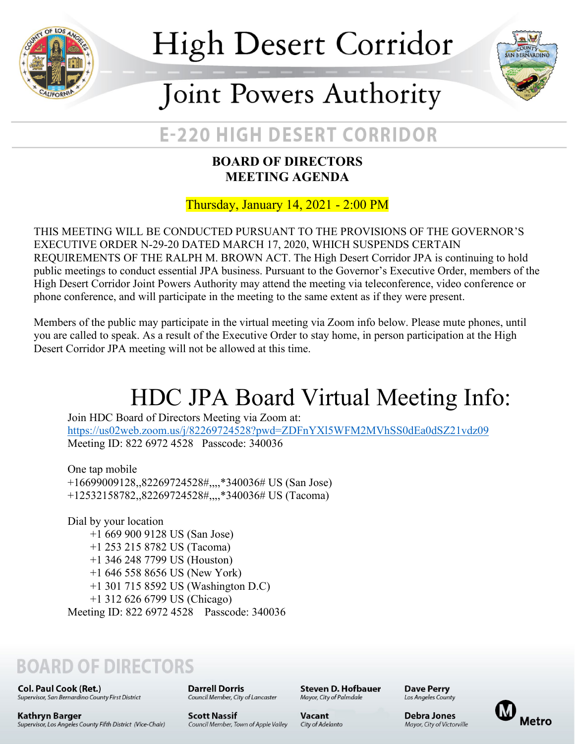

# **High Desert Corridor**



## Joint Powers Authority

### **E-220 HIGH DESERT CORRIDOR**

#### **BOARD OF DIRECTORS MEETING AGENDA**

Thursday, January 14, 2021 - 2:00 PM

THIS MEETING WILL BE CONDUCTED PURSUANT TO THE PROVISIONS OF THE GOVERNOR'S EXECUTIVE ORDER N-29-20 DATED MARCH 17, 2020, WHICH SUSPENDS CERTAIN REQUIREMENTS OF THE RALPH M. BROWN ACT. The High Desert Corridor JPA is continuing to hold public meetings to conduct essential JPA business. Pursuant to the Governor's Executive Order, members of the High Desert Corridor Joint Powers Authority may attend the meeting via teleconference, video conference or phone conference, and will participate in the meeting to the same extent as if they were present.

Members of the public may participate in the virtual meeting via Zoom info below. Please mute phones, until you are called to speak. As a result of the Executive Order to stay home, in person participation at the High Desert Corridor JPA meeting will not be allowed at this time.

## HDC JPA Board Virtual Meeting Info:

Join HDC Board of Directors Meeting via Zoom at: <https://us02web.zoom.us/j/82269724528?pwd=ZDFnYXl5WFM2MVhSS0dEa0dSZ21vdz09> Meeting ID: 822 6972 4528 Passcode: 340036

One tap mobile +16699009128,,82269724528#,,,,\*340036# US (San Jose) +12532158782,,82269724528#,,,,\*340036# US (Tacoma)

Dial by your location +1 669 900 9128 US (San Jose) +1 253 215 8782 US (Tacoma) +1 346 248 7799 US (Houston) +1 646 558 8656 US (New York) +1 301 715 8592 US (Washington D.C) +1 312 626 6799 US (Chicago) Meeting ID: 822 6972 4528 Passcode: 340036

### **BOARD OF DIRECTORS**

**Col. Paul Cook (Ret.)** Supervisor, San Bernardino County First District **Darrell Dorris** Council Member, City of Lancaster

Steven D. Hofbauer Mayor, City of Palmdale

**Dave Perry** Los Angeles County

Debra Jones

Mayor, City of Victorville



Kathryn Barger Supervisor, Los Angeles County Fifth District (Vice-Chair)

**Scott Nassif** Council Member, Town of Apple Valley Vacant City of Adelanto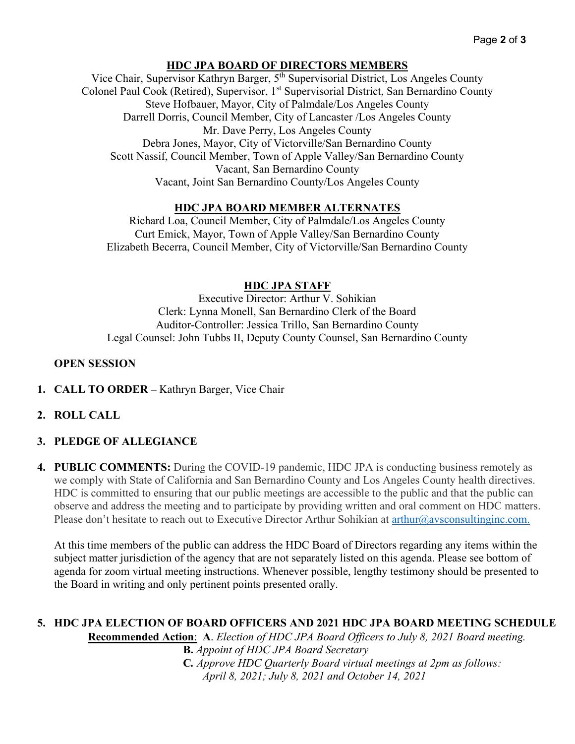#### **HDC JPA BOARD OF DIRECTORS MEMBERS**

Vice Chair, Supervisor Kathryn Barger, 5th Supervisorial District, Los Angeles County Colonel Paul Cook (Retired), Supervisor, 1<sup>st</sup> Supervisorial District, San Bernardino County Steve Hofbauer, Mayor, City of Palmdale/Los Angeles County Darrell Dorris, Council Member, City of Lancaster /Los Angeles County Mr. Dave Perry, Los Angeles County Debra Jones, Mayor, City of Victorville/San Bernardino County Scott Nassif, Council Member, Town of Apple Valley/San Bernardino County Vacant, San Bernardino County Vacant, Joint San Bernardino County/Los Angeles County

#### **HDC JPA BOARD MEMBER ALTERNATES**

Richard Loa, Council Member, City of Palmdale/Los Angeles County Curt Emick, Mayor, Town of Apple Valley/San Bernardino County Elizabeth Becerra, Council Member, City of Victorville/San Bernardino County

#### **HDC JPA STAFF**

Executive Director: Arthur V. Sohikian Clerk: Lynna Monell, San Bernardino Clerk of the Board Auditor-Controller: Jessica Trillo, San Bernardino County Legal Counsel: John Tubbs II, Deputy County Counsel, San Bernardino County

#### **OPEN SESSION**

**1. CALL TO ORDER –** Kathryn Barger, Vice Chair

#### **2. ROLL CALL**

#### **3. PLEDGE OF ALLEGIANCE**

**4. PUBLIC COMMENTS:** During the COVID-19 pandemic, HDC JPA is conducting business remotely as we comply with State of California and San Bernardino County and Los Angeles County health directives. HDC is committed to ensuring that our public meetings are accessible to the public and that the public can observe and address the meeting and to participate by providing written and oral comment on HDC matters. Please don't hesitate to reach out to Executive Director Arthur Sohikian at [arthur@avsconsultinginc.com.](mailto:arthur@avsconsultinginc.com)

At this time members of the public can address the HDC Board of Directors regarding any items within the subject matter jurisdiction of the agency that are not separately listed on this agenda. Please see bottom of agenda for zoom virtual meeting instructions. Whenever possible, lengthy testimony should be presented to the Board in writing and only pertinent points presented orally.

#### **5. HDC JPA ELECTION OF BOARD OFFICERS AND 2021 HDC JPA BOARD MEETING SCHEDULE Recommended Action**: **A**. *Election of HDC JPA Board Officers to July 8, 2021 Board meeting.*

 **B.** *Appoint of HDC JPA Board Secretary*  **C***. Approve HDC Quarterly Board virtual meetings at 2pm as follows: April 8, 2021; July 8, 2021 and October 14, 2021*